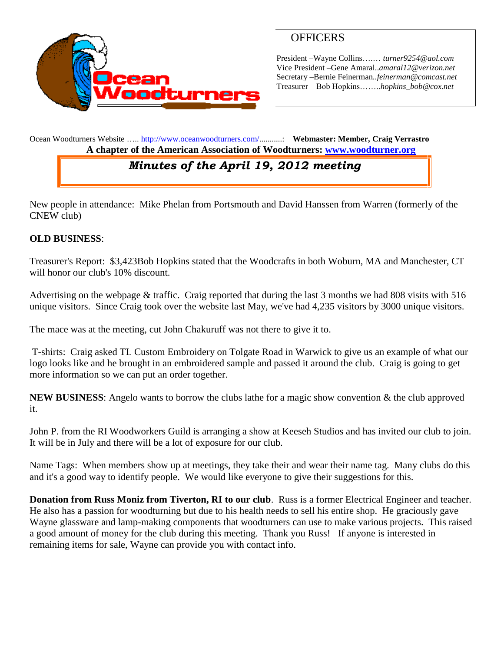

## **OFFICERS**

President –Wayne Collins….… *turner9254@aol.com* Vice President –Gene Amaral..*amaral12@verizon.net* Secretary –Bernie Feinerman*..feinerman@comcast.net* Treasurer – Bob Hopkins……..*hopkins\_bob@cox.net*

Ocean Woodturners Website ….. [http://www.oceanwoodturners.com/..](http://www.oceanwoodturners.com/).........: **Webmaster: Member, Craig Verrastro A chapter of the American Association of Woodturners: [www.woodturner.org](http://www.woodturner.org/)** 

## *Minutes of the April 19, 2012 meeting*

New people in attendance: Mike Phelan from Portsmouth and David Hanssen from Warren (formerly of the CNEW club)

## **OLD BUSINESS**:

Treasurer's Report: \$3,423Bob Hopkins stated that the Woodcrafts in both Woburn, MA and Manchester, CT will honor our club's 10% discount.

Advertising on the webpage & traffic. Craig reported that during the last 3 months we had 808 visits with 516 unique visitors. Since Craig took over the website last May, we've had 4,235 visitors by 3000 unique visitors.

The mace was at the meeting, cut John Chakuruff was not there to give it to.

T-shirts: Craig asked TL Custom Embroidery on Tolgate Road in Warwick to give us an example of what our logo looks like and he brought in an embroidered sample and passed it around the club. Craig is going to get more information so we can put an order together.

**NEW BUSINESS**: Angelo wants to borrow the clubs lathe for a magic show convention & the club approved it.

John P. from the RI Woodworkers Guild is arranging a show at Keeseh Studios and has invited our club to join. It will be in July and there will be a lot of exposure for our club.

Name Tags: When members show up at meetings, they take their and wear their name tag. Many clubs do this and it's a good way to identify people. We would like everyone to give their suggestions for this.

**Donation from Russ Moniz from Tiverton, RI to our club**. Russ is a former Electrical Engineer and teacher. He also has a passion for woodturning but due to his health needs to sell his entire shop. He graciously gave Wayne glassware and lamp-making components that woodturners can use to make various projects. This raised a good amount of money for the club during this meeting. Thank you Russ! If anyone is interested in remaining items for sale, Wayne can provide you with contact info.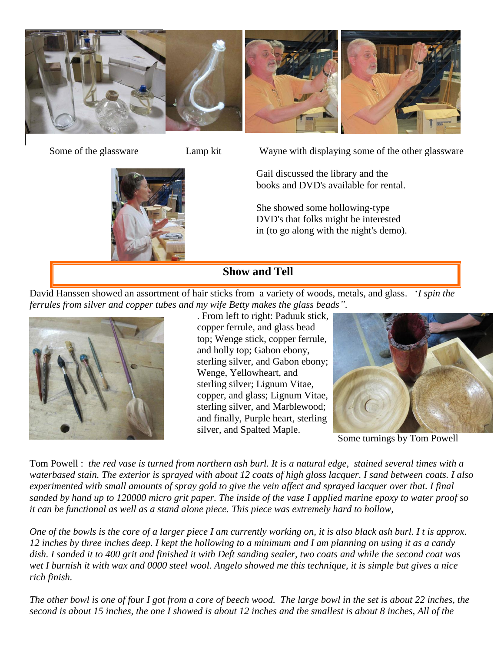

Some of the glassware Lamp kit Wayne with displaying some of the other glassware

Gail discussed the library and the books and DVD's available for rental.

She showed some hollowing-type DVD's that folks might be interested in (to go along with the night's demo).

**Show and Tell**

David Hanssen showed an assortment of hair sticks from a variety of woods, metals, and glass. '*I spin the ferrules from silver and copper tubes and my wife Betty makes the glass beads"*.



. From left to right: Paduuk stick, copper ferrule, and glass bead top; Wenge stick, copper ferrule, and holly top; Gabon ebony, sterling silver, and Gabon ebony; Wenge, Yellowheart, and sterling silver; Lignum Vitae, copper, and glass; Lignum Vitae, sterling silver, and Marblewood; and finally, Purple heart, sterling silver, and Spalted Maple.



Some turnings by Tom Powell

Tom Powell : *the red vase is turned from northern ash burl. It is a natural edge, stained several times with a waterbased stain. The exterior is sprayed with about 12 coats of high gloss lacquer. I sand between coats. I also experimented with small amounts of spray gold to give the vein affect and sprayed lacquer over that. I final sanded by hand up to 120000 micro grit paper. The inside of the vase I applied marine epoxy to water proof so it can be functional as well as a stand alone piece. This piece was extremely hard to hollow,*

*One of the bowls is the core of a larger piece I am currently working on, it is also black ash burl. I t is approx. 12 inches by three inches deep. I kept the hollowing to a minimum and I am planning on using it as a candy dish. I sanded it to 400 grit and finished it with Deft sanding sealer, two coats and while the second coat was wet I burnish it with wax and 0000 steel wool. Angelo showed me this technique, it is simple but gives a nice rich finish.*

*The other bowl is one of four I got from a core of beech wood. The large bowl in the set is about 22 inches, the second is about 15 inches, the one I showed is about 12 inches and the smallest is about 8 inches, All of the*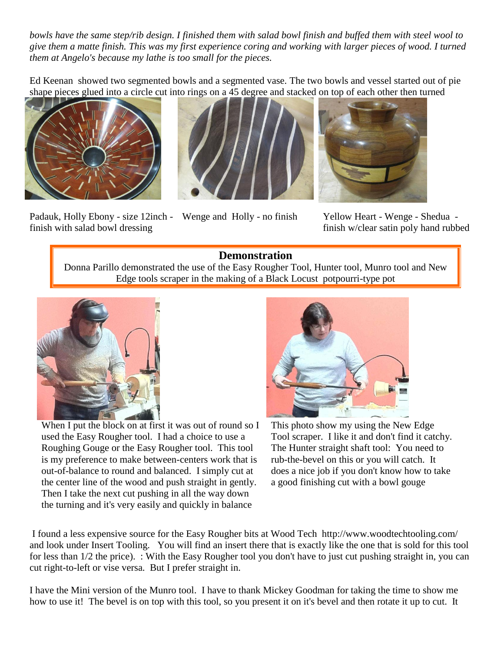*bowls have the same step/rib design. I finished them with salad bowl finish and buffed them with steel wool to give them a matte finish. This was my first experience coring and working with larger pieces of wood. I turned them at Angelo's because my lathe is too small for the pieces.*

Ed Keenan showed two segmented bowls and a segmented vase. The two bowls and vessel started out of pie shape pieces glued into a circle cut into rings on a 45 degree and stacked on top of each other then turned



Padauk, Holly Ebony - size 12inch - Wenge and Holly - no finish finish with salad bowl dressing





Yellow Heart - Wenge - Shedua finish w/clear satin poly hand rubbed

## **Demonstration**

Donna Parillo demonstrated the use of the Easy Rougher Tool, Hunter tool, Munro tool and New Edge tools scraper in the making of a Black Locust potpourri-type pot



When I put the block on at first it was out of round so I used the Easy Rougher tool. I had a choice to use a Roughing Gouge or the Easy Rougher tool. This tool is my preference to make between-centers work that is out-of-balance to round and balanced. I simply cut at the center line of the wood and push straight in gently. Then I take the next cut pushing in all the way down the turning and it's very easily and quickly in balance



This photo show my using the New Edge Tool scraper. I like it and don't find it catchy. The Hunter straight shaft tool: You need to rub-the-bevel on this or you will catch. It does a nice job if you don't know how to take a good finishing cut with a bowl gouge

I found a less expensive source for the Easy Rougher bits at Wood Tech http://www.woodtechtooling.com/ and look under Insert Tooling. You will find an insert there that is exactly like the one that is sold for this tool for less than 1/2 the price). : With the Easy Rougher tool you don't have to just cut pushing straight in, you can cut right-to-left or vise versa. But I prefer straight in.

I have the Mini version of the Munro tool. I have to thank Mickey Goodman for taking the time to show me how to use it! The bevel is on top with this tool, so you present it on it's bevel and then rotate it up to cut. It